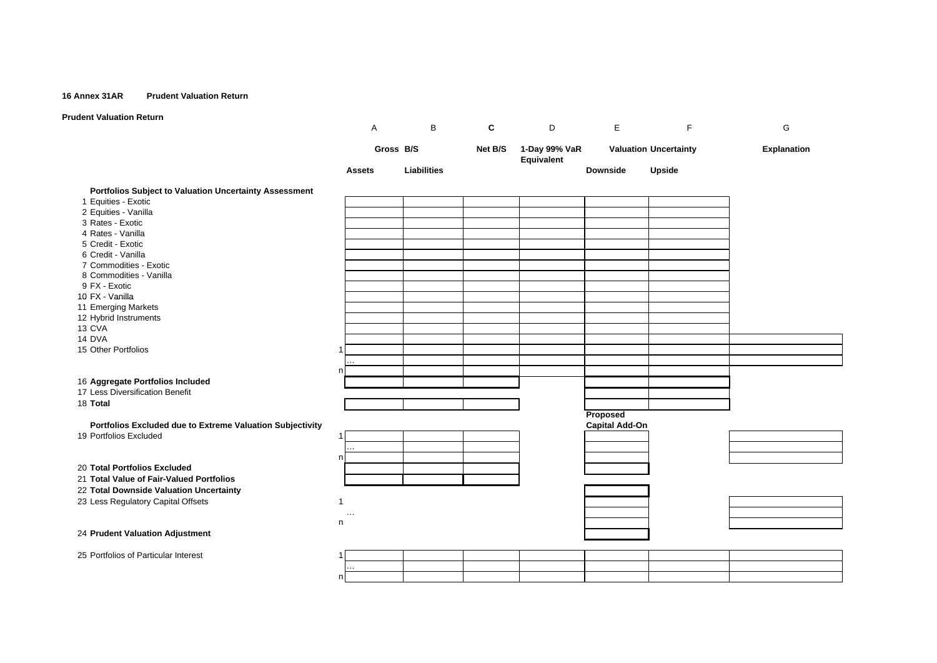#### **16 Annex 31AR Prudent Valuation Return**

## **Prudent Valuation Return**

|                                                           | Α             | В           | C       | D                           | E                     | F                            | G                  |
|-----------------------------------------------------------|---------------|-------------|---------|-----------------------------|-----------------------|------------------------------|--------------------|
|                                                           | Gross B/S     |             | Net B/S | 1-Day 99% VaR<br>Equivalent |                       | <b>Valuation Uncertainty</b> | <b>Explanation</b> |
|                                                           | <b>Assets</b> | Liabilities |         |                             | <b>Downside</b>       | Upside                       |                    |
| Portfolios Subject to Valuation Uncertainty Assessment    |               |             |         |                             |                       |                              |                    |
| 1 Equities - Exotic                                       |               |             |         |                             |                       |                              |                    |
| 2 Equities - Vanilla                                      |               |             |         |                             |                       |                              |                    |
| 3 Rates - Exotic                                          |               |             |         |                             |                       |                              |                    |
| 4 Rates - Vanilla<br>5 Credit - Exotic                    |               |             |         |                             |                       |                              |                    |
| 6 Credit - Vanilla                                        |               |             |         |                             |                       |                              |                    |
| 7 Commodities - Exotic                                    |               |             |         |                             |                       |                              |                    |
| 8 Commodities - Vanilla                                   |               |             |         |                             |                       |                              |                    |
| 9 FX - Exotic                                             |               |             |         |                             |                       |                              |                    |
| 10 FX - Vanilla                                           |               |             |         |                             |                       |                              |                    |
| 11 Emerging Markets                                       |               |             |         |                             |                       |                              |                    |
| 12 Hybrid Instruments                                     |               |             |         |                             |                       |                              |                    |
| 13 CVA                                                    |               |             |         |                             |                       |                              |                    |
| 14 DVA                                                    |               |             |         |                             |                       |                              |                    |
| 15 Other Portfolios                                       |               |             |         |                             |                       |                              |                    |
|                                                           |               |             |         |                             |                       |                              |                    |
|                                                           | n             |             |         |                             |                       |                              |                    |
| 16 Aggregate Portfolios Included                          |               |             |         |                             |                       |                              |                    |
| 17 Less Diversification Benefit                           |               |             |         |                             |                       |                              |                    |
| 18 Total                                                  |               |             |         |                             |                       |                              |                    |
|                                                           |               |             |         |                             | Proposed              |                              |                    |
| Portfolios Excluded due to Extreme Valuation Subjectivity |               |             |         |                             | <b>Capital Add-On</b> |                              |                    |
| 19 Portfolios Excluded                                    |               |             |         |                             |                       |                              |                    |
|                                                           |               |             |         |                             |                       |                              |                    |
| n                                                         |               |             |         |                             |                       |                              |                    |
| 20 Total Portfolios Excluded                              |               |             |         |                             |                       |                              |                    |
| 21 Total Value of Fair-Valued Portfolios                  |               |             |         |                             |                       |                              |                    |
| 22 Total Downside Valuation Uncertainty                   |               |             |         |                             |                       |                              |                    |
| 23 Less Regulatory Capital Offsets<br>1                   |               |             |         |                             |                       |                              |                    |
|                                                           | $\ddotsc$     |             |         |                             |                       |                              |                    |
|                                                           | n             |             |         |                             |                       |                              |                    |
| 24 Prudent Valuation Adjustment                           |               |             |         |                             |                       |                              |                    |
| 25 Portfolios of Particular Interest                      |               |             |         |                             |                       |                              |                    |
|                                                           |               |             |         |                             |                       |                              |                    |
|                                                           | n             |             |         |                             |                       |                              |                    |